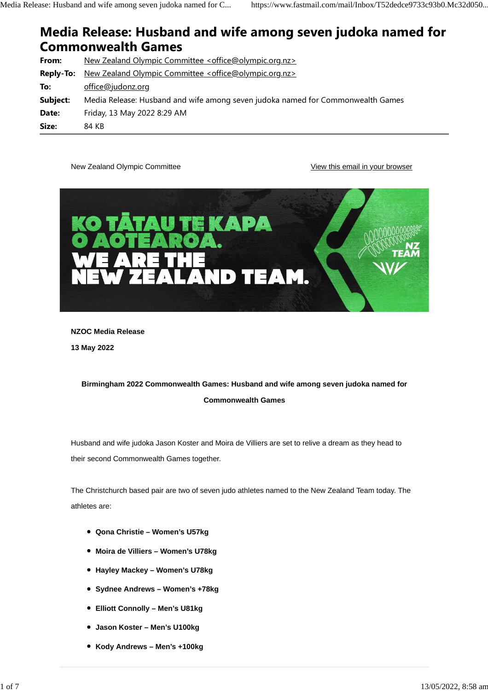# Media Release: Husband and wife among seven judoka named for Commonwealth Games

| From:            | New Zealand Olympic Committee <office@olympic.org.nz></office@olympic.org.nz>        |
|------------------|--------------------------------------------------------------------------------------|
| <b>Reply-To:</b> | <u>New Zealand Olympic Committee <office@olympic.org.nz></office@olympic.org.nz></u> |
| To:              | office@judonz.org                                                                    |
| Subject:         | Media Release: Husband and wife among seven judoka named for Commonwealth Games      |
| Date:            | Friday, 13 May 2022 8:29 AM                                                          |
| Size:            | 84 KB                                                                                |

New Zealand Olympic Committee View this email in your browser



**NZOC Media Release**

**13 May 2022**

# **Birmingham 2022 Commonwealth Games: Husband and wife among seven judoka named for Commonwealth Games**

Husband and wife judoka Jason Koster and Moira de Villiers are set to relive a dream as they head to their second Commonwealth Games together.

The Christchurch based pair are two of seven judo athletes named to the New Zealand Team today. The athletes are:

- **Qona Christie Women's U57kg**
- **Moira de Villiers Women's U78kg**
- **Hayley Mackey Women's U78kg**
- **Sydnee Andrews Women's +78kg**
- **Elliott Connolly Men's U81kg**
- **Jason Koster Men's U100kg**
- **Kody Andrews Men's +100kg**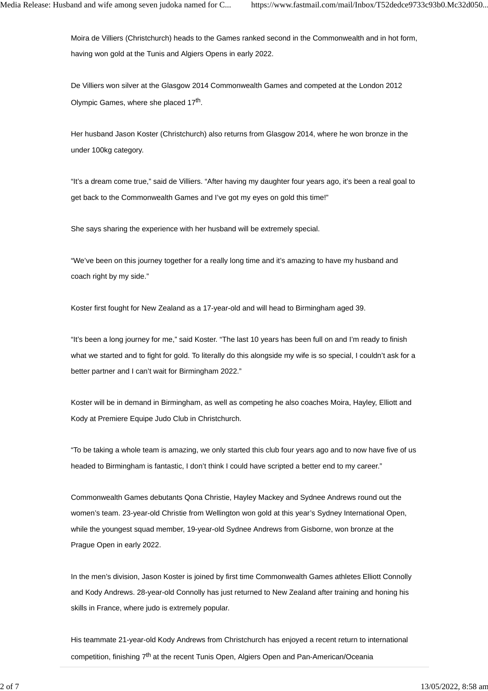Moira de Villiers (Christchurch) heads to the Games ranked second in the Commonwealth and in hot form, having won gold at the Tunis and Algiers Opens in early 2022.

De Villiers won silver at the Glasgow 2014 Commonwealth Games and competed at the London 2012 Olympic Games, where she placed 17<sup>th</sup>.

Her husband Jason Koster (Christchurch) also returns from Glasgow 2014, where he won bronze in the under 100kg category.

"It's a dream come true," said de Villiers. "After having my daughter four years ago, it's been a real goal to get back to the Commonwealth Games and I've got my eyes on gold this time!"

She says sharing the experience with her husband will be extremely special.

"We've been on this journey together for a really long time and it's amazing to have my husband and coach right by my side."

Koster first fought for New Zealand as a 17-year-old and will head to Birmingham aged 39.

"It's been a long journey for me," said Koster. "The last 10 years has been full on and I'm ready to finish what we started and to fight for gold. To literally do this alongside my wife is so special, I couldn't ask for a better partner and I can't wait for Birmingham 2022."

Koster will be in demand in Birmingham, as well as competing he also coaches Moira, Hayley, Elliott and Kody at Premiere Equipe Judo Club in Christchurch.

"To be taking a whole team is amazing, we only started this club four years ago and to now have five of us headed to Birmingham is fantastic, I don't think I could have scripted a better end to my career."

Commonwealth Games debutants Qona Christie, Hayley Mackey and Sydnee Andrews round out the women's team. 23-year-old Christie from Wellington won gold at this year's Sydney International Open, while the youngest squad member, 19-year-old Sydnee Andrews from Gisborne, won bronze at the Prague Open in early 2022.

In the men's division, Jason Koster is joined by first time Commonwealth Games athletes Elliott Connolly and Kody Andrews. 28-year-old Connolly has just returned to New Zealand after training and honing his skills in France, where judo is extremely popular.

His teammate 21-year-old Kody Andrews from Christchurch has enjoyed a recent return to international competition, finishing 7<sup>th</sup> at the recent Tunis Open, Algiers Open and Pan-American/Oceania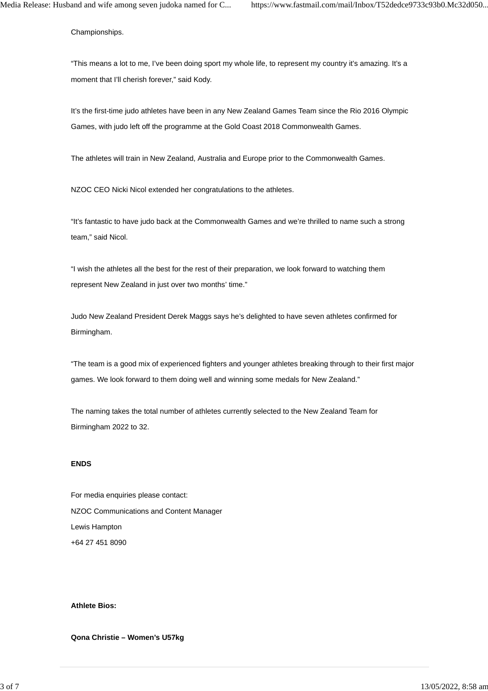Championships.

"This means a lot to me, I've been doing sport my whole life, to represent my country it's amazing. It's a moment that I'll cherish forever," said Kody.

It's the first-time judo athletes have been in any New Zealand Games Team since the Rio 2016 Olympic Games, with judo left off the programme at the Gold Coast 2018 Commonwealth Games.

The athletes will train in New Zealand, Australia and Europe prior to the Commonwealth Games.

NZOC CEO Nicki Nicol extended her congratulations to the athletes.

"It's fantastic to have judo back at the Commonwealth Games and we're thrilled to name such a strong team," said Nicol.

"I wish the athletes all the best for the rest of their preparation, we look forward to watching them represent New Zealand in just over two months' time."

Judo New Zealand President Derek Maggs says he's delighted to have seven athletes confirmed for Birmingham.

"The team is a good mix of experienced fighters and younger athletes breaking through to their first major games. We look forward to them doing well and winning some medals for New Zealand."

The naming takes the total number of athletes currently selected to the New Zealand Team for Birmingham 2022 to 32.

#### **ENDS**

For media enquiries please contact: NZOC Communications and Content Manager Lewis Hampton +64 27 451 8090

# **Athlete Bios:**

**Qona Christie – Women's U57kg**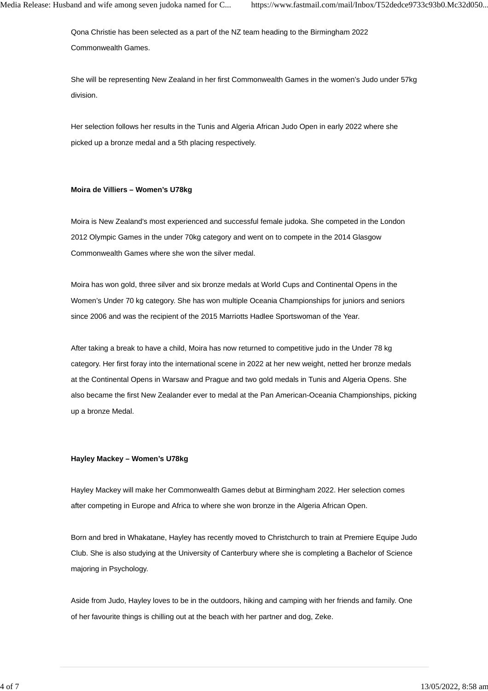Qona Christie has been selected as a part of the NZ team heading to the Birmingham 2022 Commonwealth Games.

She will be representing New Zealand in her first Commonwealth Games in the women's Judo under 57kg division.

Her selection follows her results in the Tunis and Algeria African Judo Open in early 2022 where she picked up a bronze medal and a 5th placing respectively.

### **Moira de Villiers – Women's U78kg**

Moira is New Zealand's most experienced and successful female judoka. She competed in the London 2012 Olympic Games in the under 70kg category and went on to compete in the 2014 Glasgow Commonwealth Games where she won the silver medal.

Moira has won gold, three silver and six bronze medals at World Cups and Continental Opens in the Women's Under 70 kg category. She has won multiple Oceania Championships for juniors and seniors since 2006 and was the recipient of the 2015 Marriotts Hadlee Sportswoman of the Year.

After taking a break to have a child, Moira has now returned to competitive judo in the Under 78 kg category. Her first foray into the international scene in 2022 at her new weight, netted her bronze medals at the Continental Opens in Warsaw and Prague and two gold medals in Tunis and Algeria Opens. She also became the first New Zealander ever to medal at the Pan American-Oceania Championships, picking up a bronze Medal.

# **Hayley Mackey – Women's U78kg**

Hayley Mackey will make her Commonwealth Games debut at Birmingham 2022. Her selection comes after competing in Europe and Africa to where she won bronze in the Algeria African Open.

Born and bred in Whakatane, Hayley has recently moved to Christchurch to train at Premiere Equipe Judo Club. She is also studying at the University of Canterbury where she is completing a Bachelor of Science majoring in Psychology.

Aside from Judo, Hayley loves to be in the outdoors, hiking and camping with her friends and family. One of her favourite things is chilling out at the beach with her partner and dog, Zeke.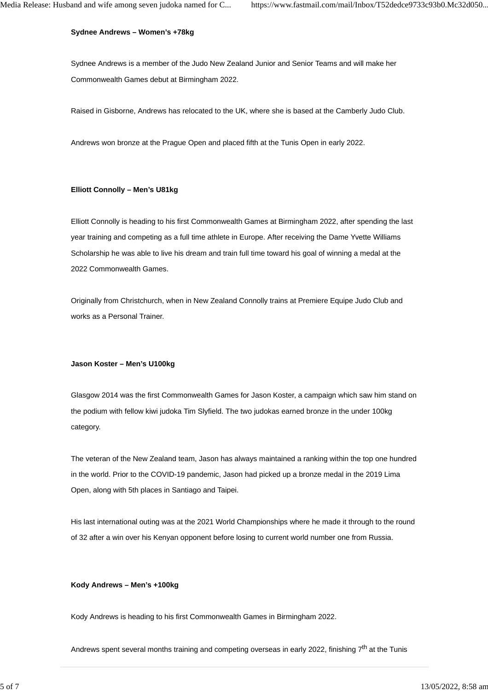#### **Sydnee Andrews – Women's +78kg**

Sydnee Andrews is a member of the Judo New Zealand Junior and Senior Teams and will make her Commonwealth Games debut at Birmingham 2022.

Raised in Gisborne, Andrews has relocated to the UK, where she is based at the Camberly Judo Club.

Andrews won bronze at the Prague Open and placed fifth at the Tunis Open in early 2022.

#### **Elliott Connolly – Men's U81kg**

Elliott Connolly is heading to his first Commonwealth Games at Birmingham 2022, after spending the last year training and competing as a full time athlete in Europe. After receiving the Dame Yvette Williams Scholarship he was able to live his dream and train full time toward his goal of winning a medal at the 2022 Commonwealth Games.

Originally from Christchurch, when in New Zealand Connolly trains at Premiere Equipe Judo Club and works as a Personal Trainer.

#### **Jason Koster – Men's U100kg**

Glasgow 2014 was the first Commonwealth Games for Jason Koster, a campaign which saw him stand on the podium with fellow kiwi judoka Tim Slyfield. The two judokas earned bronze in the under 100kg category.

The veteran of the New Zealand team, Jason has always maintained a ranking within the top one hundred in the world. Prior to the COVID-19 pandemic, Jason had picked up a bronze medal in the 2019 Lima Open, along with 5th places in Santiago and Taipei.

His last international outing was at the 2021 World Championships where he made it through to the round of 32 after a win over his Kenyan opponent before losing to current world number one from Russia.

#### **Kody Andrews – Men's +100kg**

Kody Andrews is heading to his first Commonwealth Games in Birmingham 2022.

Andrews spent several months training and competing overseas in early 2022, finishing 7<sup>th</sup> at the Tunis